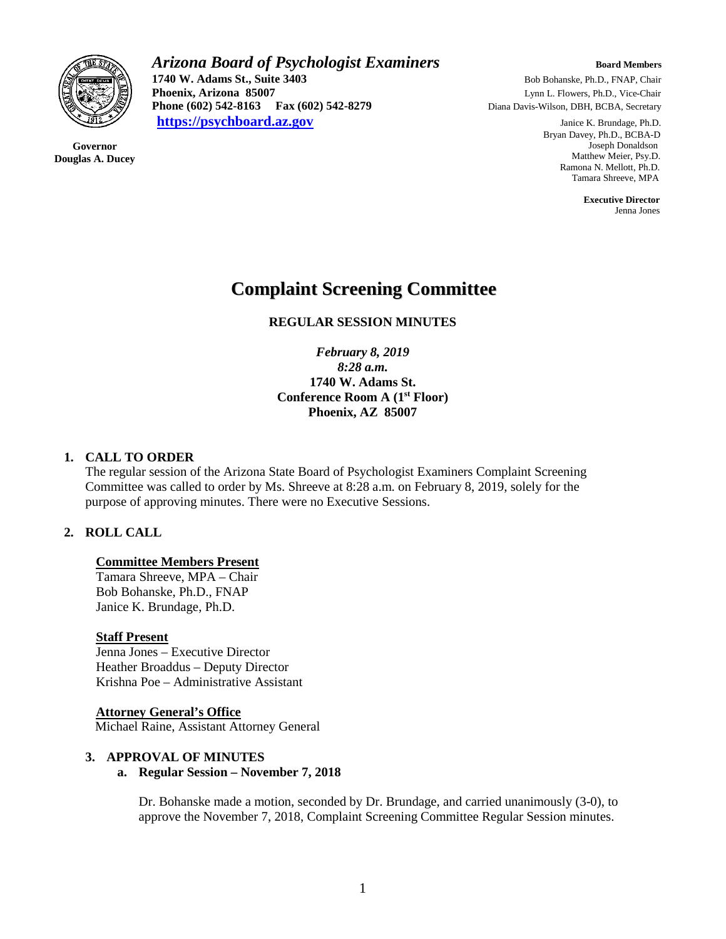

**Governor Douglas A. Ducey** *Arizona Board of Psychologist Examiners* **Board Members Board Members 1740 W. Adams St., Suite 3403 Bob Bohanske, Ph.D., FNAP, Chair**<br> **Phoenix, Arizona 85007 Lynn L. Flowers, Ph.D., Vice-Chair Phoenix, Arizona 85007** Lynn L. Flowers, Ph.D., Vice-Chair **Phone (602) 542-8163 Fax (602) 542-8279** Diana Davis-Wilson, DBH, BCBA, Secretary **[https://psychboard.az.gov](https://psychboard.az.gov/)** Janice K. Brundage, Ph.D.

 Bryan Davey, Ph.D., BCBA-D Joseph Donaldson Matthew Meier, Psy.D. Ramona N. Mellott, Ph.D. Tamara Shreeve, MPA

 **Executive Director** Jenna Jones

# **Complaint Screening Committee**

## **REGULAR SESSION MINUTES**

*February 8, 2019 8:28 a.m.* **1740 W. Adams St. Conference Room A (1st Floor) Phoenix, AZ 85007**

#### **1. CALL TO ORDER**

The regular session of the Arizona State Board of Psychologist Examiners Complaint Screening Committee was called to order by Ms. Shreeve at 8:28 a.m. on February 8, 2019, solely for the purpose of approving minutes. There were no Executive Sessions.

## **2. ROLL CALL**

#### **Committee Members Present**

Tamara Shreeve, MPA – Chair Bob Bohanske, Ph.D., FNAP Janice K. Brundage, Ph.D.

#### **Staff Present**

Jenna Jones – Executive Director Heather Broaddus – Deputy Director Krishna Poe – Administrative Assistant

#### **Attorney General's Office**

Michael Raine, Assistant Attorney General

#### **3. APPROVAL OF MINUTES**

#### **a. Regular Session – November 7, 2018**

Dr. Bohanske made a motion, seconded by Dr. Brundage, and carried unanimously (3-0), to approve the November 7, 2018, Complaint Screening Committee Regular Session minutes.